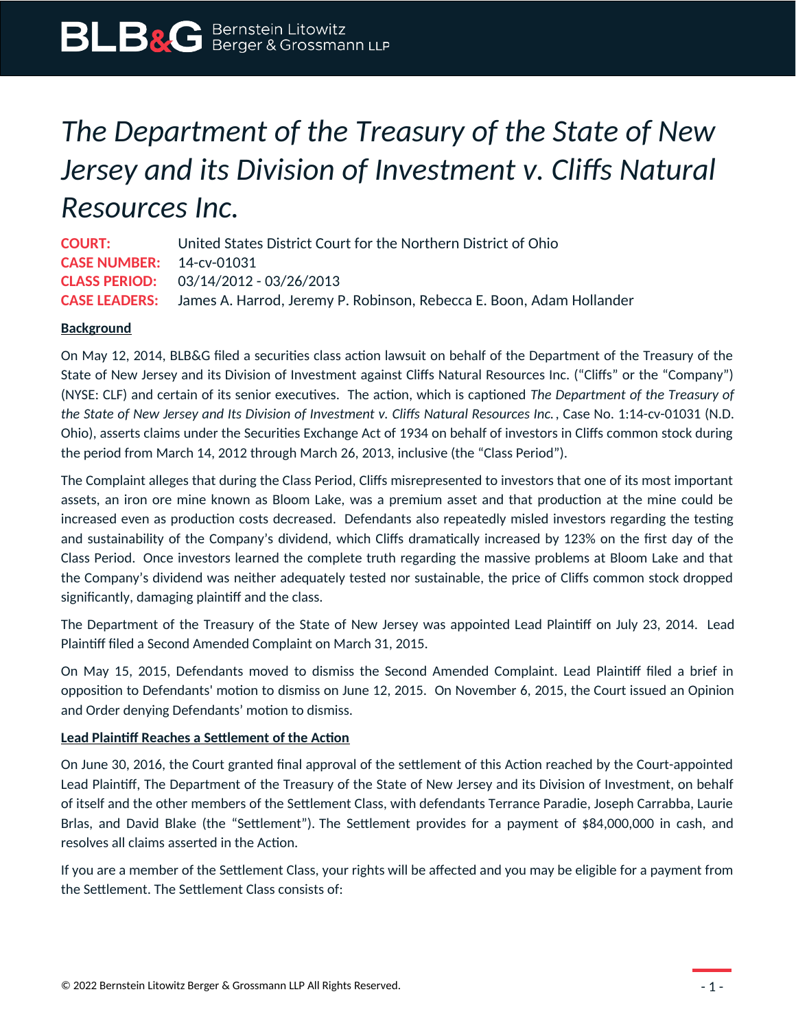# *The Department of the Treasury of the State of New Jersey and its Division of Investment v. Cliffs Natural Resources Inc.*

**COURT:** United States District Court for the Northern District of Ohio **CASE NUMBER:** 14-cv-01031 **CLASS PERIOD:** 03/14/2012 - 03/26/2013 **CASE LEADERS:** James A. Harrod, Jeremy P. Robinson, Rebecca E. Boon, Adam Hollander

# **Background**

On May 12, 2014, BLB&G filed a securities class action lawsuit on behalf of the Department of the Treasury of the State of New Jersey and its Division of Investment against Cliffs Natural Resources Inc. ("Cliffs" or the "Company") (NYSE: CLF) and certain of its senior executives. The action, which is captioned *The Department of the Treasury of the State of New Jersey and Its Division of Investment v. Cliffs Natural Resources Inc.*, Case No. 1:14-cv-01031 (N.D. Ohio), asserts claims under the Securities Exchange Act of 1934 on behalf of investors in Cliffs common stock during the period from March 14, 2012 through March 26, 2013, inclusive (the "Class Period").

The Complaint alleges that during the Class Period, Cliffs misrepresented to investors that one of its most important assets, an iron ore mine known as Bloom Lake, was a premium asset and that production at the mine could be increased even as production costs decreased. Defendants also repeatedly misled investors regarding the testing and sustainability of the Company's dividend, which Cliffs dramatically increased by 123% on the first day of the Class Period. Once investors learned the complete truth regarding the massive problems at Bloom Lake and that the Company's dividend was neither adequately tested nor sustainable, the price of Cliffs common stock dropped significantly, damaging plaintiff and the class.

The Department of the Treasury of the State of New Jersey was appointed Lead Plaintiff on July 23, 2014. Lead Plaintiff filed a Second Amended Complaint on March 31, 2015.

On May 15, 2015, Defendants moved to dismiss the Second Amended Complaint. Lead Plaintiff filed a brief in opposition to Defendants' motion to dismiss on June 12, 2015. On November 6, 2015, the Court issued an Opinion and Order denying Defendants' motion to dismiss.

### **Lead Plaintiff Reaches a Settlement of the Action**

On June 30, 2016, the Court granted final approval of the settlement of this Action reached by the Court-appointed Lead Plaintiff, The Department of the Treasury of the State of New Jersey and its Division of Investment, on behalf of itself and the other members of the Settlement Class, with defendants Terrance Paradie, Joseph Carrabba, Laurie Brlas, and David Blake (the "Settlement"). The Settlement provides for a payment of \$84,000,000 in cash, and resolves all claims asserted in the Action.

If you are a member of the Settlement Class, your rights will be affected and you may be eligible for a payment from the Settlement. The Settlement Class consists of: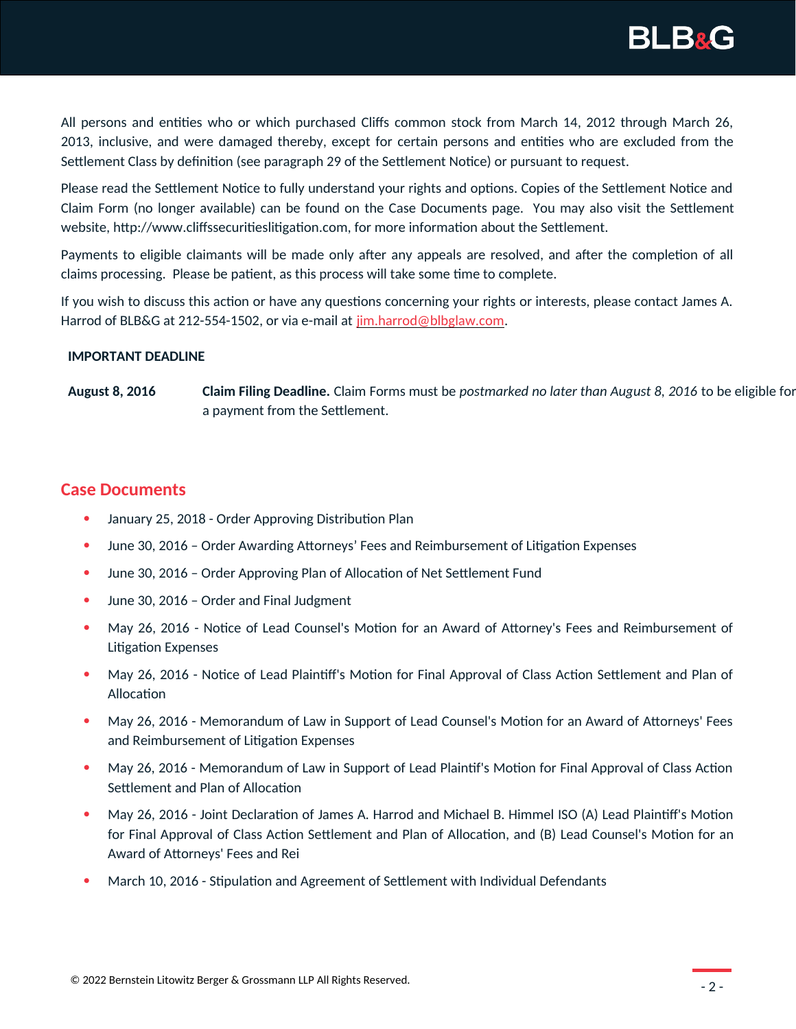

All persons and entities who or which purchased Cliffs common stock from March 14, 2012 through March 26, 2013, inclusive, and were damaged thereby, except for certain persons and entities who are excluded from the Settlement Class by definition (see paragraph 29 of the Settlement Notice) or pursuant to request.

Please read the Settlement Notice to fully understand your rights and options. Copies of the Settlement Notice and Claim Form (no longer available) can be found on the Case Documents page. You may also visit the Settlement website, http://www.cliffssecuritieslitigation.com, for more information about the Settlement.

Payments to eligible claimants will be made only after any appeals are resolved, and after the completion of all claims processing. Please be patient, as this process will take some time to complete.

If you wish to discuss this action or have any questions concerning your rights or interests, please contact James A. Harrod of BLB&G at 212-554-1502, or via e-mail at [jim.harrod@blbglaw.com](https://www.blbglaw.com/mailto:jim.harrod@blbglaw.com).

#### **IMPORTANT DEADLINE**

**August 8, 2016 Claim Filing Deadline.** Claim Forms must be *postmarked no later than August 8, 2016* to be eligible for a payment from the Settlement.

# **Case Documents**

- January 25, 2018 Order Approving Distribution Plan
- June 30, 2016 Order Awarding Attorneys' Fees and Reimbursement of Litigation Expenses
- June 30, 2016 Order Approving Plan of Allocation of Net Settlement Fund
- June 30, 2016 Order and Final Judgment
- May 26, 2016 Notice of Lead Counsel's Motion for an Award of Attorney's Fees and Reimbursement of Litigation Expenses
- May 26, 2016 Notice of Lead Plaintiff's Motion for Final Approval of Class Action Settlement and Plan of Allocation
- May 26, 2016 Memorandum of Law in Support of Lead Counsel's Motion for an Award of Attorneys' Fees and Reimbursement of Litigation Expenses
- May 26, 2016 Memorandum of Law in Support of Lead Plaintif's Motion for Final Approval of Class Action Settlement and Plan of Allocation
- May 26, 2016 Joint Declaration of James A. Harrod and Michael B. Himmel ISO (A) Lead Plaintiff's Motion for Final Approval of Class Action Settlement and Plan of Allocation, and (B) Lead Counsel's Motion for an Award of Attorneys' Fees and Rei
- March 10, 2016 Stipulation and Agreement of Settlement with Individual Defendants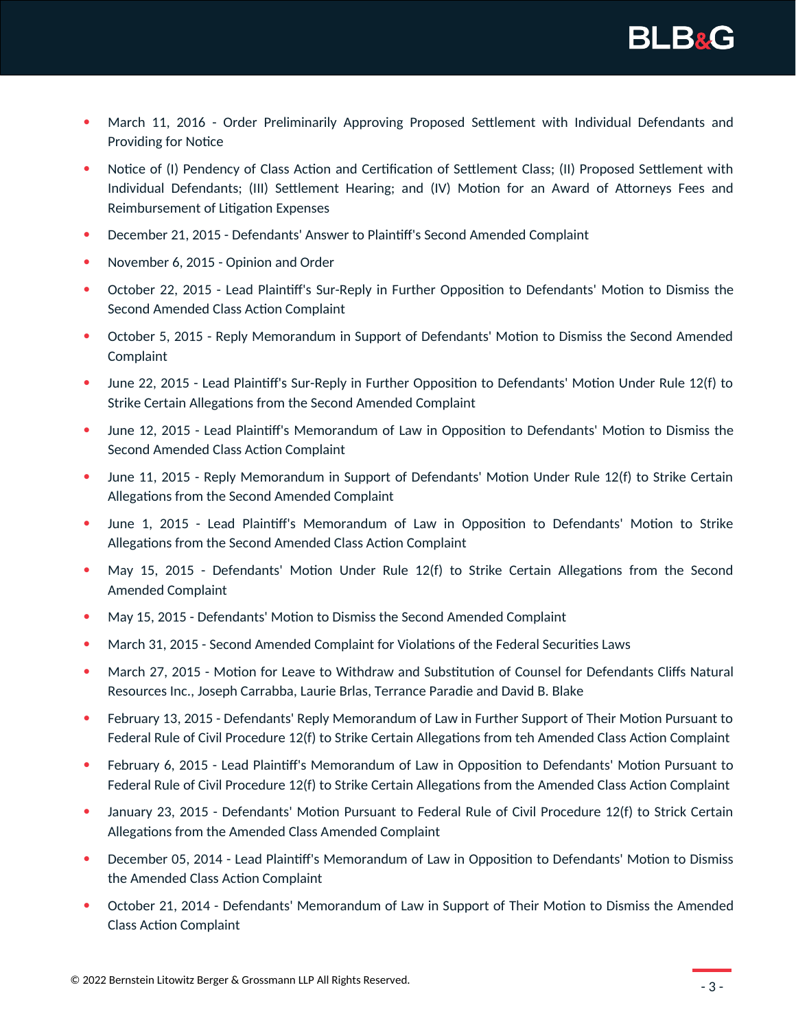

- March 11, 2016 Order Preliminarily Approving Proposed Settlement with Individual Defendants and Providing for Notice
- Notice of (I) Pendency of Class Action and Certification of Settlement Class; (II) Proposed Settlement with Individual Defendants; (III) Settlement Hearing; and (IV) Motion for an Award of Attorneys Fees and Reimbursement of Litigation Expenses
- December 21, 2015 Defendants' Answer to Plaintiff's Second Amended Complaint
- November 6, 2015 Opinion and Order
- October 22, 2015 Lead Plaintiff's Sur-Reply in Further Opposition to Defendants' Motion to Dismiss the Second Amended Class Action Complaint
- October 5, 2015 Reply Memorandum in Support of Defendants' Motion to Dismiss the Second Amended Complaint
- June 22, 2015 Lead Plaintiff's Sur-Reply in Further Opposition to Defendants' Motion Under Rule 12(f) to Strike Certain Allegations from the Second Amended Complaint
- June 12, 2015 Lead Plaintiff's Memorandum of Law in Opposition to Defendants' Motion to Dismiss the Second Amended Class Action Complaint
- June 11, 2015 Reply Memorandum in Support of Defendants' Motion Under Rule 12(f) to Strike Certain Allegations from the Second Amended Complaint
- June 1, 2015 Lead Plaintiff's Memorandum of Law in Opposition to Defendants' Motion to Strike Allegations from the Second Amended Class Action Complaint
- May 15, 2015 Defendants' Motion Under Rule 12(f) to Strike Certain Allegations from the Second Amended Complaint
- May 15, 2015 Defendants' Motion to Dismiss the Second Amended Complaint
- March 31, 2015 Second Amended Complaint for Violations of the Federal Securities Laws
- March 27, 2015 Motion for Leave to Withdraw and Substitution of Counsel for Defendants Cliffs Natural Resources Inc., Joseph Carrabba, Laurie Brlas, Terrance Paradie and David B. Blake
- February 13, 2015 Defendants' Reply Memorandum of Law in Further Support of Their Motion Pursuant to Federal Rule of Civil Procedure 12(f) to Strike Certain Allegations from teh Amended Class Action Complaint
- February 6, 2015 Lead Plaintiff's Memorandum of Law in Opposition to Defendants' Motion Pursuant to Federal Rule of Civil Procedure 12(f) to Strike Certain Allegations from the Amended Class Action Complaint
- January 23, 2015 Defendants' Motion Pursuant to Federal Rule of Civil Procedure 12(f) to Strick Certain Allegations from the Amended Class Amended Complaint
- December 05, 2014 Lead Plaintiff's Memorandum of Law in Opposition to Defendants' Motion to Dismiss the Amended Class Action Complaint
- October 21, 2014 Defendants' Memorandum of Law in Support of Their Motion to Dismiss the Amended Class Action Complaint